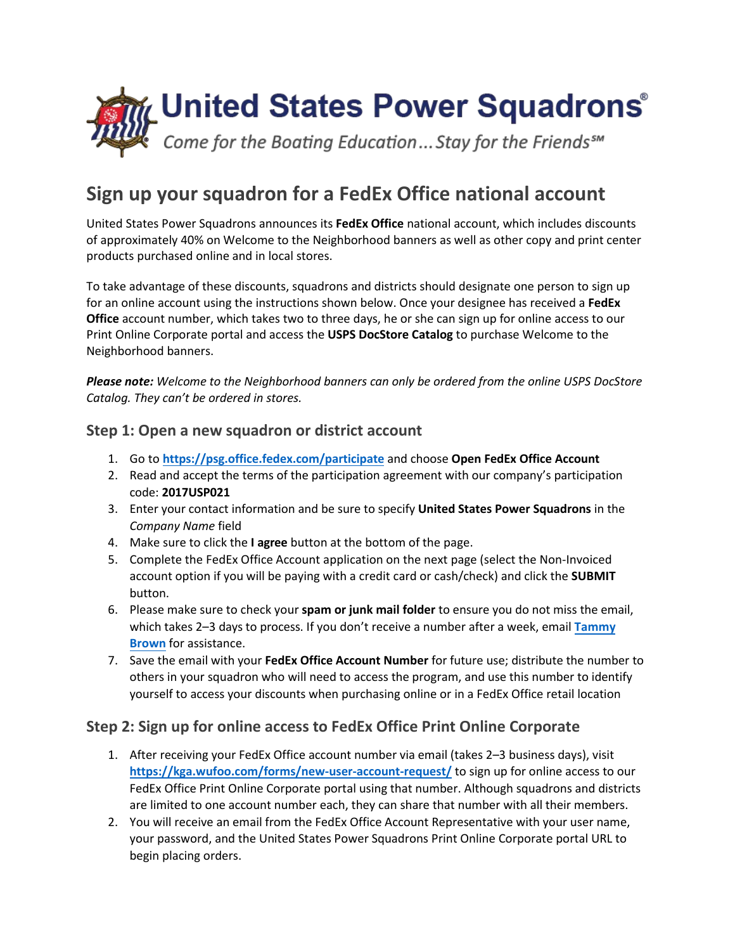

## **Sign up your squadron for a FedEx Office national account**

United States Power Squadrons announces its **FedEx Office** national account, which includes discounts of approximately 40% on Welcome to the Neighborhood banners as well as other copy and print center products purchased online and in local stores.

To take advantage of these discounts, squadrons and districts should designate one person to sign up for an online account using the instructions shown below. Once your designee has received a **FedEx Office** account number, which takes two to three days, he or she can sign up for online access to our Print Online Corporate portal and access the **USPS DocStore Catalog** to purchase Welcome to the Neighborhood banners.

*Please note: Welcome to the Neighborhood banners can only be ordered from the online USPS DocStore Catalog. They can't be ordered in stores.*

## **Step 1: Open a new squadron or district account**

- 1. Go to **<https://psg.office.fedex.com/participate>** and choose **Open FedEx Office Account**
- 2. Read and accept the terms of the participation agreement with our company's participation code: **2017USP021**
- 3. Enter your contact information and be sure to specify **United States Power Squadrons** in the *Company Name* field
- 4. Make sure to click the **I agree** button at the bottom of the page.
- 5. Complete the FedEx Office Account application on the next page (select the Non-Invoiced account option if you will be paying with a credit card or cash/check) and click the **SUBMIT** button.
- 6. Please make sure to check your **spam or junk mail folder** to ensure you do not miss the email, which takes 2–3 days to process. If you don't receive a number after a week, email **[Tammy](mailto:brownt@hq.usps.org) [Brown](mailto:brownt@hq.usps.org)** for assistance.
- 7. Save the email with your **FedEx Office Account Number** for future use; distribute the number to others in your squadron who will need to access the program, and use this number to identify yourself to access your discounts when purchasing online or in a FedEx Office retail location

## **Step 2: Sign up for online access to FedEx Office Print Online Corporate**

- 1. After receiving your FedEx Office account number via email (takes 2–3 business days), visit **[https://kga.wufoo.com/forms/new-user-account-reque](https://kga.wufoo.com/forms/new-user-account-request/)st/** to sign up for online access to our FedEx Office Print Online Corporate portal using that number. Although squadrons and districts are limited to one account number each, they can share that number with all their members.
- 2. You will receive an email from the FedEx Office Account Representative with your user name, your password, and the United States Power Squadrons Print Online Corporate portal URL to begin placing orders.